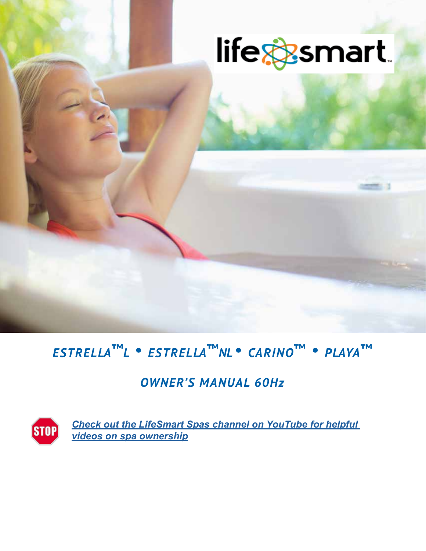

# *ESTRELLA***™***L . ESTRELLA***™***NL . CARINO***™** *. PLAYA***™**

## *OWNER'S MANUAL 60Hz*



*Check out the LifeSmart Spas channel on YouTube for helpful videos on spa ownership*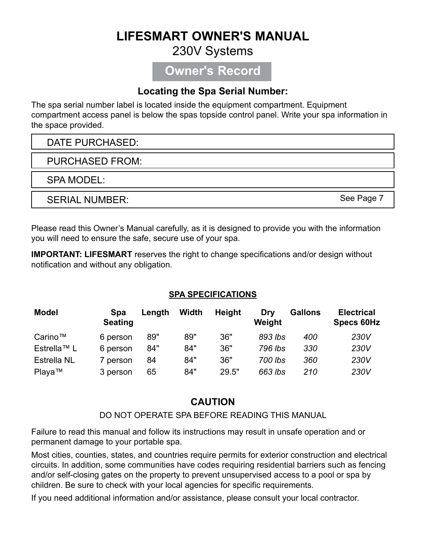## **LIFESMART OWNER'S MANUAL**

#### 230V Systems

### **Owner's Record**

#### **Locating the Spa Serial Number:**

The spa serial number label is located inside the equipment compartment. Equipment compartment access panel is below the spas topside control panel. Write your spa information in the space provided.

#### DATE PURCHASED:

PURCHASED FROM:

SPA MODEL:

SERIAL NUMBER:

See Page 7

Please read this Owner's Manual carefully, as it is designed to provide you with the information you will need to ensure the safe, secure use of your spa.

**IMPORTANT: LIFESMART** reserves the right to change specifications and/or design without notification and without any obligation.

#### **SPA SPECIFICATIONS**

| <b>Model</b>       | <b>Spa</b><br><b>Seating</b> | Length | Width | <b>Height</b> | Drv<br>Weight | <b>Gallons</b> | <b>Electrical</b><br><b>Specs 60Hz</b> |
|--------------------|------------------------------|--------|-------|---------------|---------------|----------------|----------------------------------------|
| Carino™            | 6 person                     | 89"    | 89"   | 36"           | 893 lbs       | 400            | 230V                                   |
| Estrella™ L        | 6 person                     | 84"    | 84"   | 36"           | 796 lbs       | 330            | 230V                                   |
| <b>Estrella NL</b> | 7 person                     | 84     | 84"   | 36"           | 700 lbs       | 360            | 230V                                   |
| Playa™             | 3 person                     | 65     | 84"   | 29.5"         | 663 lbs       | 210            | 230V                                   |

#### **CAUTION**

DO NOT OPERATE SPA BEFORE READING THIS MANUAL

Failure to read this manual and follow its instructions may result in unsafe operation and or permanent damage to your portable spa.

Most cities, counties, states, and countries require permits for exterior construction and electrical circuits. In addition, some communities have codes requiring residential barriers such as fencing and/or self-closing gates on the property to prevent unsupervised access to a pool or spa by children. Be sure to check with your local agencies for specific requirements.

If you need additional information and/or assistance, please consult your local contractor.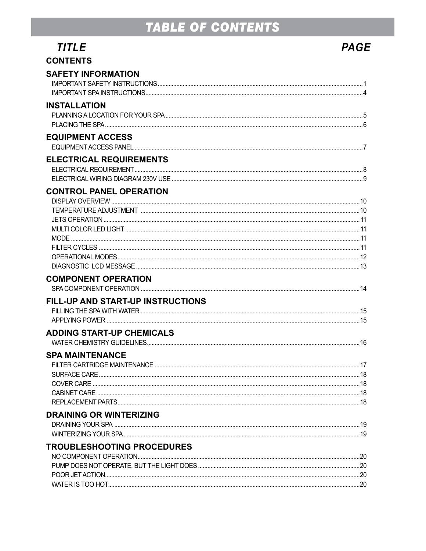## TABLE OF CONTENTS

| <i>TITLE</i>                                                          | <b>PAGE</b> |
|-----------------------------------------------------------------------|-------------|
| <b>CONTENTS</b>                                                       |             |
| <b>SAFETY INFORMATION</b>                                             |             |
| <b>INSTALLATION</b>                                                   |             |
| <b>EQUIPMENT ACCESS</b>                                               |             |
| <b>ELECTRICAL REQUIREMENTS</b>                                        |             |
| <b>CONTROL PANEL OPERATION</b>                                        |             |
| <b>COMPONENT OPERATION</b>                                            |             |
| FILL-UP AND START-UP INSTRUCTIONS<br><b>ADDING START-UP CHEMICALS</b> |             |
| <b>SPA MAINTENANCE</b>                                                |             |
| <b>DRAINING OR WINTERIZING</b>                                        |             |
| TROUBLESHOOTING PROCEDURES                                            |             |
|                                                                       |             |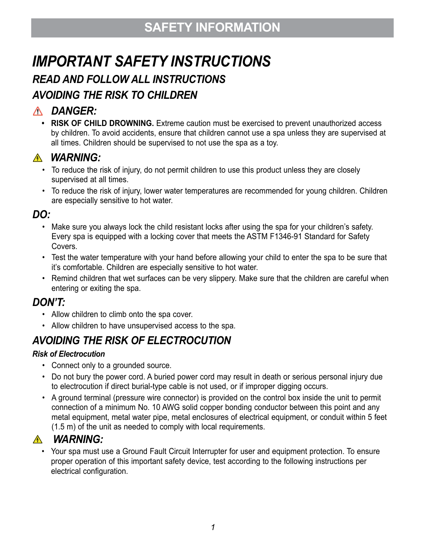## **SAFETY INFORMATION**

# *IMPORTANT SAFETY INSTRUCTIONS*

## *READ AND FOLLOW ALL INSTRUCTIONS*

## *AVOIDING THE RISK TO CHILDREN*

### *DANGER:*

**• RISK OF CHILD DROWNING.** Extreme caution must be exercised to prevent unauthorized access by children. To avoid accidents, ensure that children cannot use a spa unless they are supervised at all times. Children should be supervised to not use the spa as a toy.

### *WARNING:*

- To reduce the risk of injury, do not permit children to use this product unless they are closely supervised at all times.
- To reduce the risk of injury, lower water temperatures are recommended for young children. Children are especially sensitive to hot water.

#### *DO:*

- Make sure you always lock the child resistant locks after using the spa for your children's safety. Every spa is equipped with a locking cover that meets the ASTM F1346-91 Standard for Safety Covers.
- Test the water temperature with your hand before allowing your child to enter the spa to be sure that it's comfortable. Children are especially sensitive to hot water.
- Remind children that wet surfaces can be very slippery. Make sure that the children are careful when entering or exiting the spa.

### *DON'T:*

- Allow children to climb onto the spa cover.
- Allow children to have unsupervised access to the spa.

## *AVOIDING THE RISK OF ELECTROCUTION*

#### *Risk of Electrocution*

- Connect only to a grounded source.
- Do not bury the power cord. A buried power cord may result in death or serious personal injury due to electrocution if direct burial-type cable is not used, or if improper digging occurs.
- A ground terminal (pressure wire connector) is provided on the control box inside the unit to permit connection of a minimum No. 10 AWG solid copper bonding conductor between this point and any metal equipment, metal water pipe, metal enclosures of electrical equipment, or conduit within 5 feet (1.5 m) of the unit as needed to comply with local requirements.

### *WARNING:*

• Your spa must use a Ground Fault Circuit Interrupter for user and equipment protection. To ensure proper operation of this important safety device, test according to the following instructions per electrical configuration.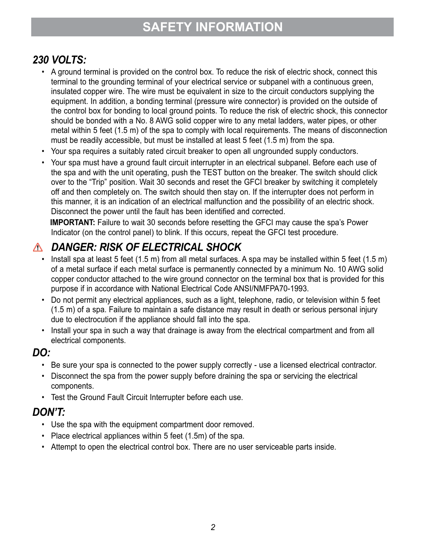## **SAFETY INFORMATION**

### *230 VOLTS:*

- A ground terminal is provided on the control box. To reduce the risk of electric shock, connect this terminal to the grounding terminal of your electrical service or subpanel with a continuous green, insulated copper wire. The wire must be equivalent in size to the circuit conductors supplying the equipment. In addition, a bonding terminal (pressure wire connector) is provided on the outside of the control box for bonding to local ground points. To reduce the risk of electric shock, this connector should be bonded with a No. 8 AWG solid copper wire to any metal ladders, water pipes, or other metal within 5 feet (1.5 m) of the spa to comply with local requirements. The means of disconnection must be readily accessible, but must be installed at least 5 feet (1.5 m) from the spa.
- Your spa requires a suitably rated circuit breaker to open all ungrounded supply conductors.
- Your spa must have a ground fault circuit interrupter in an electrical subpanel. Before each use of the spa and with the unit operating, push the TEST button on the breaker. The switch should click over to the "Trip" position. Wait 30 seconds and reset the GFCI breaker by switching it completely off and then completely on. The switch should then stay on. If the interrupter does not perform in this manner, it is an indication of an electrical malfunction and the possibility of an electric shock. Disconnect the power until the fault has been identified and corrected.

**IMPORTANT:** Failure to wait 30 seconds before resetting the GFCI may cause the spa's Power Indicator (on the control panel) to blink. If this occurs, repeat the GFCI test procedure.

### *DANGER: RISK OF ELECTRICAL SHOCK*

- Install spa at least 5 feet (1.5 m) from all metal surfaces. A spa may be installed within 5 feet (1.5 m) of a metal surface if each metal surface is permanently connected by a minimum No. 10 AWG solid copper conductor attached to the wire ground connector on the terminal box that is provided for this purpose if in accordance with National Electrical Code ANSI/NMFPA70-1993.
- Do not permit any electrical appliances, such as a light, telephone, radio, or television within 5 feet (1.5 m) of a spa. Failure to maintain a safe distance may result in death or serious personal injury due to electrocution if the appliance should fall into the spa.
- Install your spa in such a way that drainage is away from the electrical compartment and from all electrical components.

#### *DO:*

- Be sure your spa is connected to the power supply correctly use a licensed electrical contractor.
- Disconnect the spa from the power supply before draining the spa or servicing the electrical components.
- Test the Ground Fault Circuit Interrupter before each use.

#### *DON'T:*

- Use the spa with the equipment compartment door removed.
- Place electrical appliances within 5 feet (1.5m) of the spa.
- Attempt to open the electrical control box. There are no user serviceable parts inside.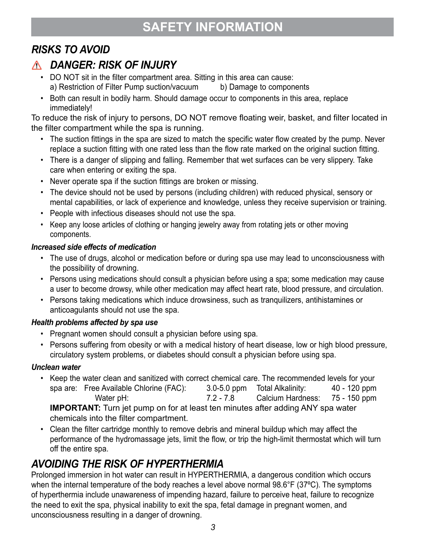## **SAFETY INFORMATION**

## *RISKS TO AVOID*

### *DANGER: RISK OF INJURY*

- DO NOT sit in the filter compartment area. Sitting in this area can cause: a) Restriction of Filter Pump suction/vacuum b) Damage to components
- Both can result in bodily harm. Should damage occur to components in this area, replace immediately!

To reduce the risk of injury to persons, DO NOT remove floating weir, basket, and filter located in the filter compartment while the spa is running.

- The suction fittings in the spa are sized to match the specific water flow created by the pump. Never replace a suction fitting with one rated less than the flow rate marked on the original suction fitting.
- There is a danger of slipping and falling. Remember that wet surfaces can be very slippery. Take care when entering or exiting the spa.
- Never operate spa if the suction fittings are broken or missing.
- The device should not be used by persons (including children) with reduced physical, sensory or mental capabilities, or lack of experience and knowledge, unless they receive supervision or training.
- People with infectious diseases should not use the spa.
- Keep any loose articles of clothing or hanging jewelry away from rotating jets or other moving components.

#### *Increased side effects of medication*

- The use of drugs, alcohol or medication before or during spa use may lead to unconsciousness with the possibility of drowning.
- Persons using medications should consult a physician before using a spa; some medication may cause a user to become drowsy, while other medication may affect heart rate, blood pressure, and circulation.
- Persons taking medications which induce drowsiness, such as tranquilizers, antihistamines or anticoagulants should not use the spa.

#### *Health problems affected by spa use*

- Pregnant women should consult a physician before using spa.
- Persons suffering from obesity or with a medical history of heart disease, low or high blood pressure, circulatory system problems, or diabetes should consult a physician before using spa.

#### *Unclean water*

- Keep the water clean and sanitized with correct chemical care. The recommended levels for your spa are: Free Available Chlorine (FAC): 3.0-5.0 ppm Total Alkalinity: 40 - 120 ppm Water pH: 7.2 - 7.8 Calcium Hardness: 75 - 150 ppm **IMPORTANT:** Turn jet pump on for at least ten minutes after adding ANY spa water chemicals into the filter compartment.
- Clean the filter cartridge monthly to remove debris and mineral buildup which may affect the performance of the hydromassage jets, limit the flow, or trip the high-limit thermostat which will turn off the entire spa.

## *AVOIDING THE RISK OF HYPERTHERMIA*

Prolonged immersion in hot water can result in HYPERTHERMIA, a dangerous condition which occurs when the internal temperature of the body reaches a level above normal 98.6°F (37°C). The symptoms of hyperthermia include unawareness of impending hazard, failure to perceive heat, failure to recognize the need to exit the spa, physical inability to exit the spa, fetal damage in pregnant women, and unconsciousness resulting in a danger of drowning.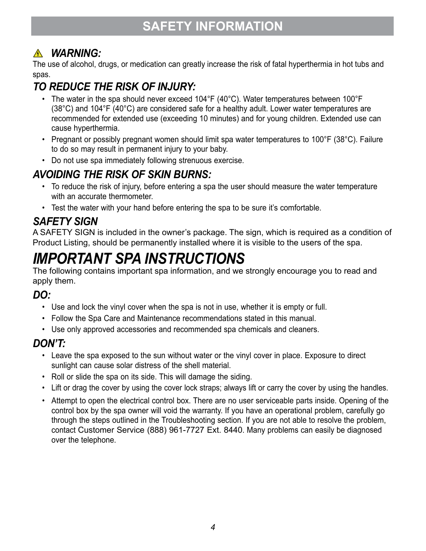## *WARNING:*

The use of alcohol, drugs, or medication can greatly increase the risk of fatal hyperthermia in hot tubs and spas.

## *TO REDUCE THE RISK OF INJURY:*

- The water in the spa should never exceed 104°F (40°C). Water temperatures between 100°F (38°C) and 104°F (40°C) are considered safe for a healthy adult. Lower water temperatures are recommended for extended use (exceeding 10 minutes) and for young children. Extended use can cause hyperthermia.
- Pregnant or possibly pregnant women should limit spa water temperatures to 100°F (38°C). Failure to do so may result in permanent injury to your baby.
- Do not use spa immediately following strenuous exercise.

## *AVOIDING THE RISK OF SKIN BURNS:*

- To reduce the risk of injury, before entering a spa the user should measure the water temperature with an accurate thermometer.
- Test the water with your hand before entering the spa to be sure it's comfortable.

## *SAFETY SIGN*

A SAFETY SIGN is included in the owner's package. The sign, which is required as a condition of Product Listing, should be permanently installed where it is visible to the users of the spa.

## *IMPORTANT SPA INSTRUCTIONS*

The following contains important spa information, and we strongly encourage you to read and apply them.

## *DO:*

- Use and lock the vinyl cover when the spa is not in use, whether it is empty or full.
- Follow the Spa Care and Maintenance recommendations stated in this manual.
- Use only approved accessories and recommended spa chemicals and cleaners.

### *DON'T:*

- Leave the spa exposed to the sun without water or the vinyl cover in place. Exposure to direct sunlight can cause solar distress of the shell material.
- Roll or slide the spa on its side. This will damage the siding.
- Lift or drag the cover by using the cover lock straps; always lift or carry the cover by using the handles.
- Attempt to open the electrical control box. There are no user serviceable parts inside. Opening of the control box by the spa owner will void the warranty. If you have an operational problem, carefully go through the steps outlined in the Troubleshooting section. If you are not able to resolve the problem, contact Customer Service (888) 961-7727 Ext. 8440. Many problems can easily be diagnosed over the telephone.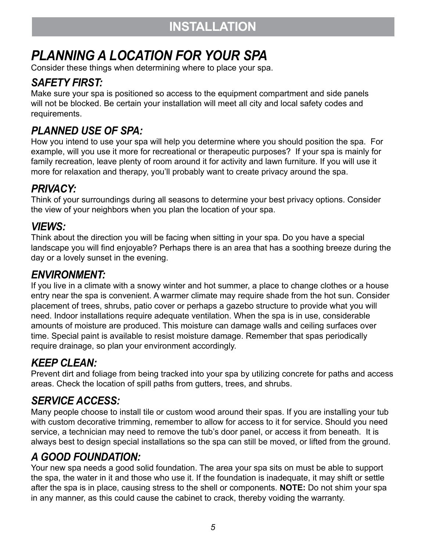## *PLANNING A LOCATION FOR YOUR SPA*

Consider these things when determining where to place your spa.

### *SAFETY FIRST:*

Make sure your spa is positioned so access to the equipment compartment and side panels will not be blocked. Be certain your installation will meet all city and local safety codes and requirements.

## *PLANNED USE OF SPA:*

How you intend to use your spa will help you determine where you should position the spa. For example, will you use it more for recreational or therapeutic purposes? If your spa is mainly for family recreation, leave plenty of room around it for activity and lawn furniture. If you will use it more for relaxation and therapy, you'll probably want to create privacy around the spa.

### *PRIVACY:*

Think of your surroundings during all seasons to determine your best privacy options. Consider the view of your neighbors when you plan the location of your spa.

### *VIEWS:*

Think about the direction you will be facing when sitting in your spa. Do you have a special landscape you will find enjoyable? Perhaps there is an area that has a soothing breeze during the day or a lovely sunset in the evening.

#### *ENVIRONMENT:*

If you live in a climate with a snowy winter and hot summer, a place to change clothes or a house entry near the spa is convenient. A warmer climate may require shade from the hot sun. Consider placement of trees, shrubs, patio cover or perhaps a gazebo structure to provide what you will need. Indoor installations require adequate ventilation. When the spa is in use, considerable amounts of moisture are produced. This moisture can damage walls and ceiling surfaces over time. Special paint is available to resist moisture damage. Remember that spas periodically require drainage, so plan your environment accordingly.

## *KEEP CLEAN:*

Prevent dirt and foliage from being tracked into your spa by utilizing concrete for paths and access areas. Check the location of spill paths from gutters, trees, and shrubs.

### *SERVICE ACCESS:*

Many people choose to install tile or custom wood around their spas. If you are installing your tub with custom decorative trimming, remember to allow for access to it for service. Should you need service, a technician may need to remove the tub's door panel, or access it from beneath. It is always best to design special installations so the spa can still be moved, or lifted from the ground.

### *A GOOD FOUNDATION:*

Your new spa needs a good solid foundation. The area your spa sits on must be able to support the spa, the water in it and those who use it. If the foundation is inadequate, it may shift or settle after the spa is in place, causing stress to the shell or components. **NOTE:** Do not shim your spa in any manner, as this could cause the cabinet to crack, thereby voiding the warranty.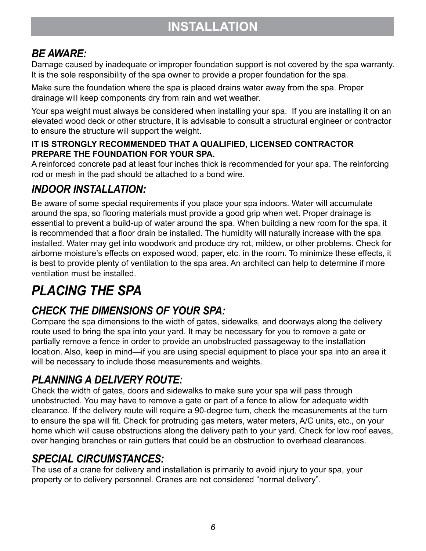### *BE AWARE:*

Damage caused by inadequate or improper foundation support is not covered by the spa warranty. It is the sole responsibility of the spa owner to provide a proper foundation for the spa.

Make sure the foundation where the spa is placed drains water away from the spa. Proper drainage will keep components dry from rain and wet weather.

Your spa weight must always be considered when installing your spa. If you are installing it on an elevated wood deck or other structure, it is advisable to consult a structural engineer or contractor to ensure the structure will support the weight.

#### **IT IS STRONGLY RECOMMENDED THAT A QUALIFIED, LICENSED CONTRACTOR PREPARE THE FOUNDATION FOR YOUR SPA.**

A reinforced concrete pad at least four inches thick is recommended for your spa. The reinforcing rod or mesh in the pad should be attached to a bond wire.

### *INDOOR INSTALLATION:*

Be aware of some special requirements if you place your spa indoors. Water will accumulate around the spa, so flooring materials must provide a good grip when wet. Proper drainage is essential to prevent a build-up of water around the spa. When building a new room for the spa, it is recommended that a floor drain be installed. The humidity will naturally increase with the spa installed. Water may get into woodwork and produce dry rot, mildew, or other problems. Check for airborne moisture's effects on exposed wood, paper, etc. in the room. To minimize these effects, it is best to provide plenty of ventilation to the spa area. An architect can help to determine if more ventilation must be installed.

## *PLACING THE SPA*

## *CHECK THE DIMENSIONS OF YOUR SPA:*

Compare the spa dimensions to the width of gates, sidewalks, and doorways along the delivery route used to bring the spa into your yard. It may be necessary for you to remove a gate or partially remove a fence in order to provide an unobstructed passageway to the installation location. Also, keep in mind—if you are using special equipment to place your spa into an area it will be necessary to include those measurements and weights.

### *PLANNING A DELIVERY ROUTE:*

Check the width of gates, doors and sidewalks to make sure your spa will pass through unobstructed. You may have to remove a gate or part of a fence to allow for adequate width clearance. If the delivery route will require a 90-degree turn, check the measurements at the turn to ensure the spa will fit. Check for protruding gas meters, water meters, A/C units, etc., on your home which will cause obstructions along the delivery path to your yard. Check for low roof eaves, over hanging branches or rain gutters that could be an obstruction to overhead clearances.

### *SPECIAL CIRCUMSTANCES:*

The use of a crane for delivery and installation is primarily to avoid injury to your spa, your property or to delivery personnel. Cranes are not considered "normal delivery".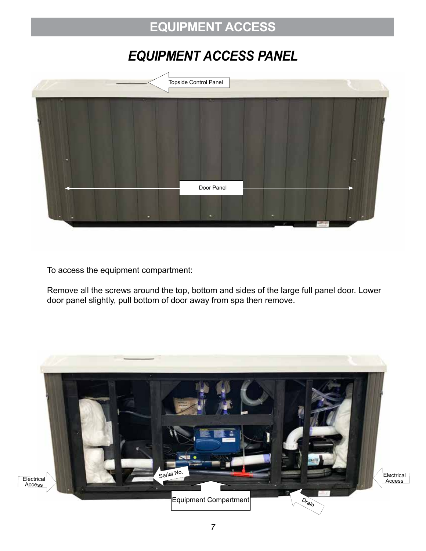## **EQUIPMENT ACCESS**

## *EQUIPMENT ACCESS PANEL*



To access the equipment compartment:

Remove all the screws around the top, bottom and sides of the large full panel door. Lower door panel slightly, pull bottom of door away from spa then remove.

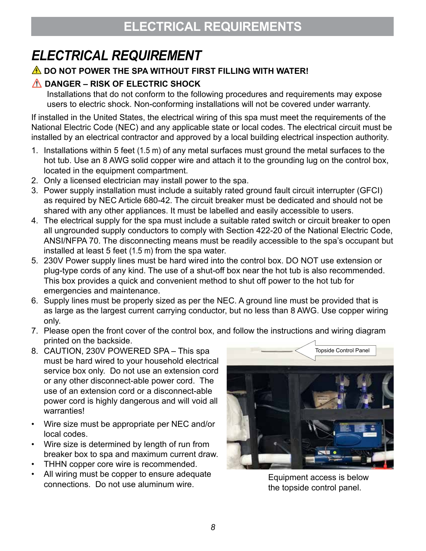## *ELECTRICAL REQUIREMENT*

#### **A** DO NOT POWER THE SPA WITHOUT FIRST FILLING WITH WATER!

#### **A DANGER – RISK OF ELECTRIC SHOCK**

Installations that do not conform to the following procedures and requirements may expose users to electric shock. Non-conforming installations will not be covered under warranty.

If installed in the United States, the electrical wiring of this spa must meet the requirements of the National Electric Code (NEC) and any applicable state or local codes. The electrical circuit must be installed by an electrical contractor and approved by a local building electrical inspection authority.

- 1. Installations within 5 feet (1.5 m) of any metal surfaces must ground the metal surfaces to the hot tub. Use an 8 AWG solid copper wire and attach it to the grounding lug on the control box, located in the equipment compartment.
- 2. Only a licensed electrician may install power to the spa.
- 3. Power supply installation must include a suitably rated ground fault circuit interrupter (GFCI) as required by NEC Article 680-42. The circuit breaker must be dedicated and should not be shared with any other appliances. It must be labelled and easily accessible to users.
- 4. The electrical supply for the spa must include a suitable rated switch or circuit breaker to open all ungrounded supply conductors to comply with Section 422-20 of the National Electric Code, ANSI/NFPA 70. The disconnecting means must be readily accessible to the spa's occupant but installed at least 5 feet (1.5 m) from the spa water.
- 5. 230V Power supply lines must be hard wired into the control box. DO NOT use extension or plug-type cords of any kind. The use of a shut-off box near the hot tub is also recommended. This box provides a quick and convenient method to shut off power to the hot tub for emergencies and maintenance.
- 6. Supply lines must be properly sized as per the NEC. A ground line must be provided that is as large as the largest current carrying conductor, but no less than 8 AWG. Use copper wiring only.
- 7. Please open the front cover of the control box, and follow the instructions and wiring diagram printed on the backside.
- 8. CAUTION, 230V POWERED SPA This spa must be hard wired to your household electrical service box only. Do not use an extension cord or any other disconnect-able power cord. The use of an extension cord or a disconnect-able power cord is highly dangerous and will void all warranties!
- Wire size must be appropriate per NEC and/or local codes.
- Wire size is determined by length of run from breaker box to spa and maximum current draw.
- THHN copper core wire is recommended.
- All wiring must be copper to ensure adequate connections. Do not use aluminum wire.



Equipment access is below the topside control panel.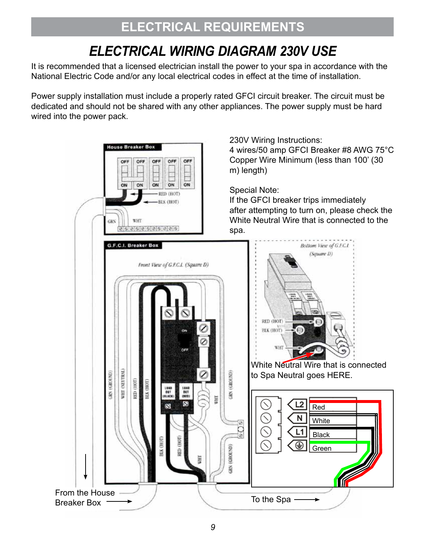## *ELECTRICAL WIRING DIAGRAM 230V USE*

It is recommended that a licensed electrician install the power to your spa in accordance with the National Electric Code and/or any local electrical codes in effect at the time of installation.

Power supply installation must include a properly rated GFCI circuit breaker. The circuit must be dedicated and should not be shared with any other appliances. The power supply must be hard wired into the power pack.

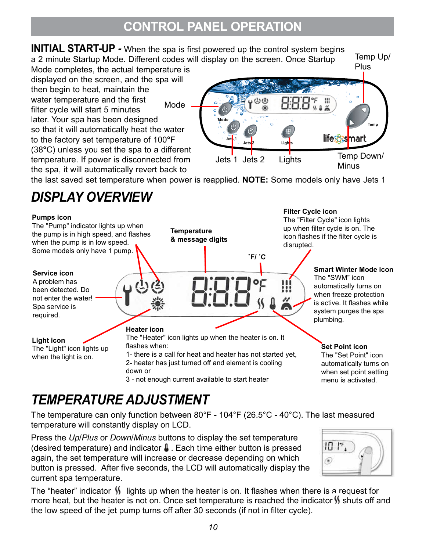## **CONTROL PANEL OPERATION**

**INITIAL START-UP** *-* When the spa is first powered up the control system begins

a 2 minute Startup Mode. Different codes will display on the screen. Once Startup Mode completes, the actual temperature is displayed on the screen, and the spa will then begin to heat, maintain the water temperature and the first filter cycle will start 5 minutes Mode

later. Your spa has been designed so that it will automatically heat the water to the factory set temperature of 100**°**F (38**°**C) unless you set the spa to a different temperature. If power is disconnected from the spa, it will automatically revert back to



Temp Up/

the last saved set temperature when power is reapplied. **NOTE:** Some models only have Jets 1

## *DISPLAY OVERVIEW*



## *TEMPERATURE ADJUSTMENT*

The temperature can only function between 80°F - 104°F (26.5°C - 40°C). The last measured temperature will constantly display on LCD.

Press the *Up*/*Plus* or *Down*/*Minus* buttons to display the set temperature (desired temperature) and indicator  $\beta$ . Each time either button is pressed again, the set temperature will increase or decrease depending on which button is pressed. After five seconds, the LCD will automatically display the current spa temperature.

 $10<sup>r</sup>$ .

The "heater" indicator  $\mathcal{V}$  lights up when the heater is on. It flashes when there is a request for more heat, but the heater is not on. Once set temperature is reached the indicator  $\mathcal{N}$  shuts off and the low speed of the jet pump turns off after 30 seconds (if not in filter cycle).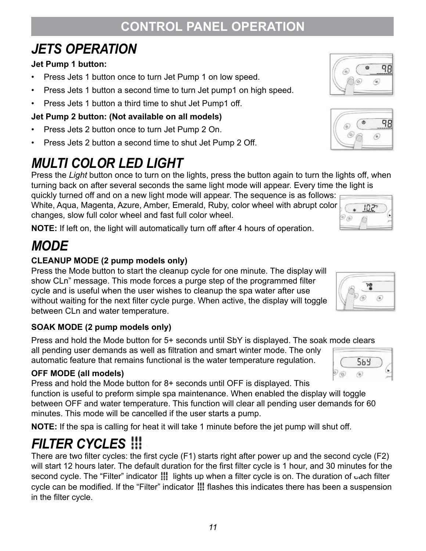#### *11*

## **CONTROL PANEL OPERATION**

## *JETS OPERATION*

#### **Jet Pump 1 button:**

- Press Jets 1 button once to turn Jet Pump 1 on low speed.
- Press Jets 1 button a second time to turn Jet pump1 on high speed.
- Press Jets 1 button a third time to shut Jet Pump1 off.

#### **Jet Pump 2 button: (Not available on all models)**

- Press Jets 2 button once to turn Jet Pump 2 On.
- Press Jets 2 button a second time to shut Jet Pump 2 Off.

## *MULTI COLOR LED LIGHT*

Press the *Light* button once to turn on the lights, press the button again to turn the lights off, when turning back on after several seconds the same light mode will appear. Every time the light is

quickly turned off and on a new light mode will appear. The sequence is as follows: White, Aqua, Magenta, Azure, Amber, Emerald, Ruby, color wheel with abrupt color changes, slow full color wheel and fast full color wheel.

**NOTE:** If left on, the light will automatically turn off after 4 hours of operation.

## *MODE*

#### **CLEANUP MODE (2 pump models only)**

Press the Mode button to start the cleanup cycle for one minute. The display will show CLn" message. This mode forces a purge step of the programmed filter cycle and is useful when the user wishes to cleanup the spa water after use without waiting for the next filter cycle purge. When active, the display will toggle between CLn and water temperature.

#### **SOAK MODE (2 pump models only)**

Press and hold the Mode button for 5+ seconds until SbY is displayed. The soak mode clears all pending user demands as well as filtration and smart winter mode. The only automatic feature that remains functional is the water temperature regulation.

#### **OFF MODE (all models)**

Press and hold the Mode button for 8+ seconds until OFF is displayed. This function is useful to preform simple spa maintenance. When enabled the display will toggle between OFF and water temperature. This function will clear all pending user demands for 60 minutes. This mode will be cancelled if the user starts a pump.

**NOTE:** If the spa is calling for heat it will take 1 minute before the jet pump will shut off.

## *FILTER CYCLES*

There are two filter cycles: the first cycle (F1) starts right after power up and the second cycle (F2) will start 12 hours later. The default duration for the first filter cycle is 1 hour, and 30 minutes for the second cycle. The "Filter" indicator  $\frac{1}{2}$  lights up when a filter cycle is on. The duration of  $\epsilon$  ach filter cycle can be modified. If the "Filter" indicator **III** flashes this indicates there has been a suspension in the filter cycle.

## $\omega$ 98 ۰





 $102^{\circ}$ 

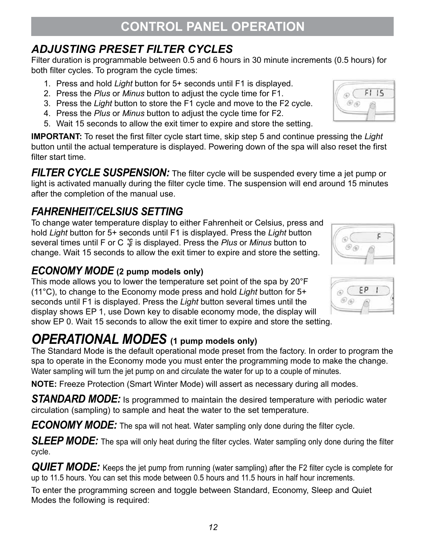## *ADJUSTING PRESET FILTER CYCLES*

Filter duration is programmable between 0.5 and 6 hours in 30 minute increments (0.5 hours) for both filter cycles. To program the cycle times:

- 1. Press and hold *Light* button for 5+ seconds until F1 is displayed.
- 2. Press the *Plus* or *Minus* button to adjust the cycle time for F1.
- 3. Press the *Light* button to store the F1 cycle and move to the F2 cycle.
- 4. Press the *Plus* or *Minus* button to adjust the cycle time for F2.
- 5. Wait 15 seconds to allow the exit timer to expire and store the setting.

**IMPORTANT:** To reset the first filter cycle start time, skip step 5 and continue pressing the *Light* button until the actual temperature is displayed. Powering down of the spa will also reset the first filter start time.

**FILTER CYCLE SUSPENSION:** The filter cycle will be suspended every time a jet pump or light is activated manually during the filter cycle time. The suspension will end around 15 minutes after the completion of the manual use.

### *FAHRENHEIT/CELSIUS SETTING*

To change water temperature display to either Fahrenheit or Celsius, press and hold *Light* button for 5+ seconds until F1 is displayed. Press the *Light* button several times until F or C  $\frac{16}{6}$  is displayed. Press the *Plus* or *Minus* button to change. Wait 15 seconds to allow the exit timer to expire and store the setting.

#### *ECONOMY MODE* **(2 pump models only)**

This mode allows you to lower the temperature set point of the spa by 20°F (11°C), to change to the Economy mode press and hold *Light* button for 5+ seconds until F1 is displayed. Press the *Light* button several times until the display shows EP 1, use Down key to disable economy mode, the display will show EP 0. Wait 15 seconds to allow the exit timer to expire and store the setting.

## *OPERATIONAL MODES* **(1 pump models only)**

The Standard Mode is the default operational mode preset from the factory. In order to program the spa to operate in the Economy mode you must enter the programming mode to make the change. Water sampling will turn the jet pump on and circulate the water for up to a couple of minutes.

**NOTE:** Freeze Protection (Smart Winter Mode) will assert as necessary during all modes.

**STANDARD MODE:** Is programmed to maintain the desired temperature with periodic water circulation (sampling) to sample and heat the water to the set temperature.

*ECONOMY MODE:* The spa will not heat. Water sampling only done during the filter cycle.

**SLEEP MODE:** The spa will only heat during the filter cycles. Water sampling only done during the filter cycle.

**QUIET MODE:** Keeps the jet pump from running (water sampling) after the F2 filter cycle is complete for up to 11.5 hours. You can set this mode between 0.5 hours and 11.5 hours in half hour increments.

To enter the programming screen and toggle between Standard, Economy, Sleep and Quiet Modes the following is required:





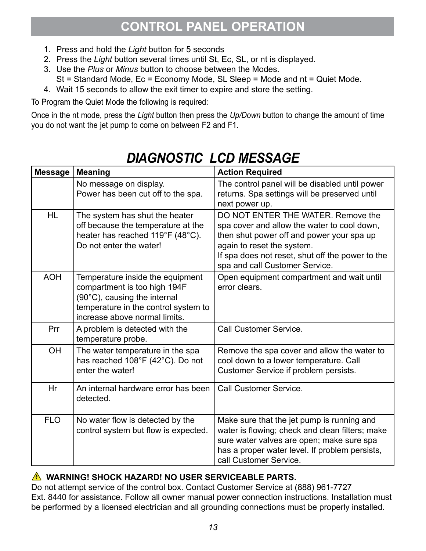## **CONTROL PANEL OPERATION**

- 1. Press and hold the *Light* button for 5 seconds
- 2. Press the *Light* button several times until St, Ec, SL, or nt is displayed.
- 3. Use the *Plus* or *Minus* button to choose between the Modes.
	- St = Standard Mode, Ec = Economy Mode, SL Sleep = Mode and nt = Quiet Mode.
- 4. Wait 15 seconds to allow the exit timer to expire and store the setting.

To Program the Quiet Mode the following is required:

Once in the nt mode, press the *Light* button then press the *Up/Down* button to change the amount of time you do not want the jet pump to come on between F2 and F1.

| <b>Message</b> | <b>Meaning</b>                                                                                                                                                            | <b>Action Required</b>                                                                                                                                                                                                                             |
|----------------|---------------------------------------------------------------------------------------------------------------------------------------------------------------------------|----------------------------------------------------------------------------------------------------------------------------------------------------------------------------------------------------------------------------------------------------|
|                | No message on display.<br>Power has been cut off to the spa.                                                                                                              | The control panel will be disabled until power<br>returns. Spa settings will be preserved until<br>next power up.                                                                                                                                  |
| <b>HL</b>      | The system has shut the heater<br>off because the temperature at the<br>heater has reached 119°F (48°C).<br>Do not enter the water!                                       | DO NOT ENTER THE WATER, Remove the<br>spa cover and allow the water to cool down,<br>then shut power off and power your spa up<br>again to reset the system.<br>If spa does not reset, shut off the power to the<br>spa and call Customer Service. |
| <b>AOH</b>     | Temperature inside the equipment<br>compartment is too high 194F<br>(90°C), causing the internal<br>temperature in the control system to<br>increase above normal limits. | Open equipment compartment and wait until<br>error clears.                                                                                                                                                                                         |
| Prr            | A problem is detected with the<br>temperature probe.                                                                                                                      | <b>Call Customer Service.</b>                                                                                                                                                                                                                      |
| <b>OH</b>      | The water temperature in the spa<br>has reached 108°F (42°C). Do not<br>enter the water!                                                                                  | Remove the spa cover and allow the water to<br>cool down to a lower temperature. Call<br>Customer Service if problem persists.                                                                                                                     |
| Hr             | An internal hardware error has been<br>detected.                                                                                                                          | <b>Call Customer Service.</b>                                                                                                                                                                                                                      |
| <b>FLO</b>     | No water flow is detected by the<br>control system but flow is expected.                                                                                                  | Make sure that the jet pump is running and<br>water is flowing; check and clean filters; make<br>sure water valves are open; make sure spa<br>has a proper water level. If problem persists,<br>call Customer Service.                             |

## *DIAGNOSTIC LCD MESSAGE*

#### **WARNING! SHOCK HAZARD! NO USER SERVICEABLE PARTS.**

Do not attempt service of the control box. Contact Customer Service at (888) 961-7727 Ext. 8440 for assistance. Follow all owner manual power connection instructions. Installation must be performed by a licensed electrician and all grounding connections must be properly installed.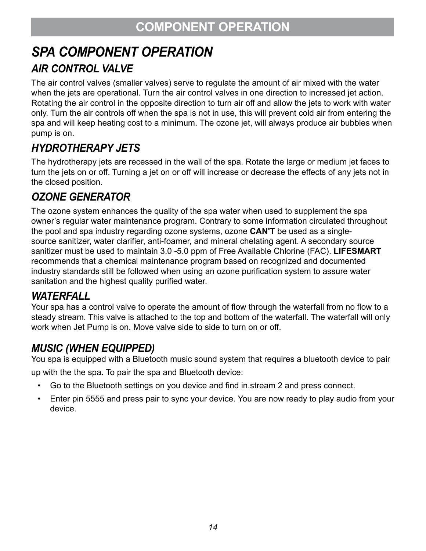## **COMPONENT OPERATION**

# *SPA COMPONENT OPERATION*

## *AIR CONTROL VALVE*

The air control valves (smaller valves) serve to regulate the amount of air mixed with the water when the jets are operational. Turn the air control valves in one direction to increased jet action. Rotating the air control in the opposite direction to turn air off and allow the jets to work with water only. Turn the air controls off when the spa is not in use, this will prevent cold air from entering the spa and will keep heating cost to a minimum. The ozone jet, will always produce air bubbles when pump is on.

## *HYDROTHERAPY JETS*

The hydrotherapy jets are recessed in the wall of the spa. Rotate the large or medium jet faces to turn the jets on or off. Turning a jet on or off will increase or decrease the effects of any jets not in the closed position.

### *OZONE GENERATOR*

The ozone system enhances the quality of the spa water when used to supplement the spa owner's regular water maintenance program. Contrary to some information circulated throughout the pool and spa industry regarding ozone systems, ozone **CAN'T** be used as a singlesource sanitizer, water clarifier, anti-foamer, and mineral chelating agent. A secondary source sanitizer must be used to maintain 3.0 -5.0 ppm of Free Available Chlorine (FAC). **LIFESMART**  recommends that a chemical maintenance program based on recognized and documented industry standards still be followed when using an ozone purification system to assure water sanitation and the highest quality purified water.

#### *WATERFALL*

Your spa has a control valve to operate the amount of flow through the waterfall from no flow to a steady stream. This valve is attached to the top and bottom of the waterfall. The waterfall will only work when Jet Pump is on. Move valve side to side to turn on or off.

### *MUSIC (WHEN EQUIPPED)*

You spa is equipped with a Bluetooth music sound system that requires a bluetooth device to pair up with the the spa. To pair the spa and Bluetooth device:

- Go to the Bluetooth settings on you device and find in.stream 2 and press connect.
- Enter pin 5555 and press pair to sync your device. You are now ready to play audio from your device.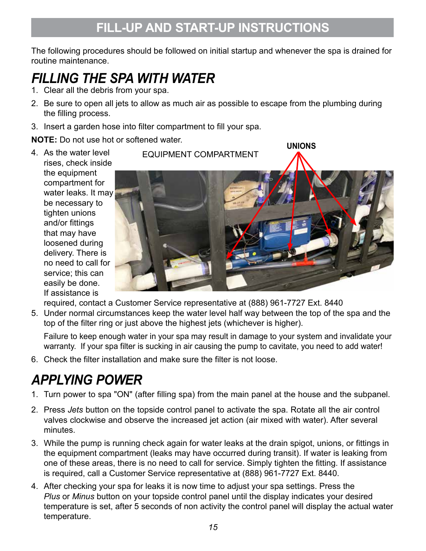The following procedures should be followed on initial startup and whenever the spa is drained for routine maintenance.

## *FILLING THE SPA WITH WATER*

- 1. Clear all the debris from your spa.
- 2. Be sure to open all jets to allow as much air as possible to escape from the plumbing during the filling process.
- 3. Insert a garden hose into filter compartment to fill your spa.

**NOTE:** Do not use hot or softened water.

4. As the water level rises, check inside the equipment compartment for water leaks. It may be necessary to tighten unions and/or fittings that may have loosened during delivery. There is no need to call for service; this can easily be done. If assistance is



**UNIONS**

required, contact a Customer Service representative at (888) 961-7727 Ext. 8440

5. Under normal circumstances keep the water level half way between the top of the spa and the top of the filter ring or just above the highest jets (whichever is higher).

Failure to keep enough water in your spa may result in damage to your system and invalidate your warranty. If your spa filter is sucking in air causing the pump to cavitate, you need to add water!

6. Check the filter installation and make sure the filter is not loose.

## *APPLYING POWER*

- 1. Turn power to spa "ON" (after filling spa) from the main panel at the house and the subpanel.
- 2. Press *Jets* button on the topside control panel to activate the spa. Rotate all the air control valves clockwise and observe the increased jet action (air mixed with water). After several minutes.
- 3. While the pump is running check again for water leaks at the drain spigot, unions, or fittings in the equipment compartment (leaks may have occurred during transit). If water is leaking from one of these areas, there is no need to call for service. Simply tighten the fitting. If assistance is required, call a Customer Service representative at (888) 961-7727 Ext. 8440.
- 4. After checking your spa for leaks it is now time to adjust your spa settings. Press the *Plus* or *Minus* button on your topside control panel until the display indicates your desired temperature is set, after 5 seconds of non activity the control panel will display the actual water temperature.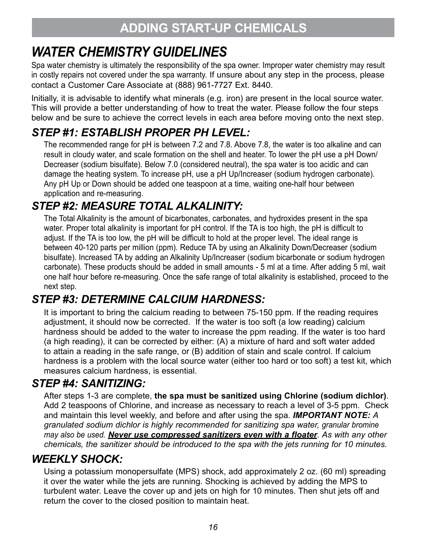## *WATER CHEMISTRY GUIDELINES*

Spa water chemistry is ultimately the responsibility of the spa owner. Improper water chemistry may result in costly repairs not covered under the spa warranty. If unsure about any step in the process, please contact a Customer Care Associate at (888) 961-7727 Ext. 8440.

Initially, it is advisable to identify what minerals (e.g. iron) are present in the local source water. This will provide a better understanding of how to treat the water. Please follow the four steps below and be sure to achieve the correct levels in each area before moving onto the next step.

## *STEP #1: ESTABLISH PROPER PH LEVEL:*

The recommended range for pH is between 7.2 and 7.8. Above 7.8, the water is too alkaline and can result in cloudy water, and scale formation on the shell and heater. To lower the pH use a pH Down/ Decreaser (sodium bisulfate). Below 7.0 (considered neutral), the spa water is too acidic and can damage the heating system. To increase pH, use a pH Up/Increaser (sodium hydrogen carbonate). Any pH Up or Down should be added one teaspoon at a time, waiting one-half hour between application and re-measuring.

### *STEP #2: MEASURE TOTAL ALKALINITY:*

The Total Alkalinity is the amount of bicarbonates, carbonates, and hydroxides present in the spa water. Proper total alkalinity is important for pH control. If the TA is too high, the pH is difficult to adjust. If the TA is too low, the pH will be difficult to hold at the proper level. The ideal range is between 40-120 parts per million (ppm). Reduce TA by using an Alkalinity Down/Decreaser (sodium bisulfate). Increased TA by adding an Alkalinity Up/Increaser (sodium bicarbonate or sodium hydrogen carbonate). These products should be added in small amounts - 5 ml at a time. After adding 5 ml, wait one half hour before re-measuring. Once the safe range of total alkalinity is established, proceed to the next step.

### *STEP #3: DETERMINE CALCIUM HARDNESS:*

It is important to bring the calcium reading to between 75-150 ppm. If the reading requires adjustment, it should now be corrected. If the water is too soft (a low reading) calcium hardness should be added to the water to increase the ppm reading. If the water is too hard (a high reading), it can be corrected by either: (A) a mixture of hard and soft water added to attain a reading in the safe range, or (B) addition of stain and scale control. If calcium hardness is a problem with the local source water (either too hard or too soft) a test kit, which measures calcium hardness, is essential.

### *STEP #4: SANITIZING:*

After steps 1-3 are complete, **the spa must be sanitized using Chlorine (sodium dichlor)**. Add 2 teaspoons of Chlorine, and increase as necessary to reach a level of 3-5 ppm. Check and maintain this level weekly, and before and after using the spa. *IMPORTANT NOTE: A granulated sodium dichlor is highly recommended for sanitizing spa water, granular bromine may also be used. Never use compressed sanitizers even with a floater*. *As with any other chemicals, the sanitizer should be introduced to the spa with the jets running for 10 minutes.*

### *WEEKLY SHOCK:*

Using a potassium monopersulfate (MPS) shock, add approximately 2 oz. (60 ml) spreading it over the water while the jets are running. Shocking is achieved by adding the MPS to turbulent water. Leave the cover up and jets on high for 10 minutes. Then shut jets off and return the cover to the closed position to maintain heat.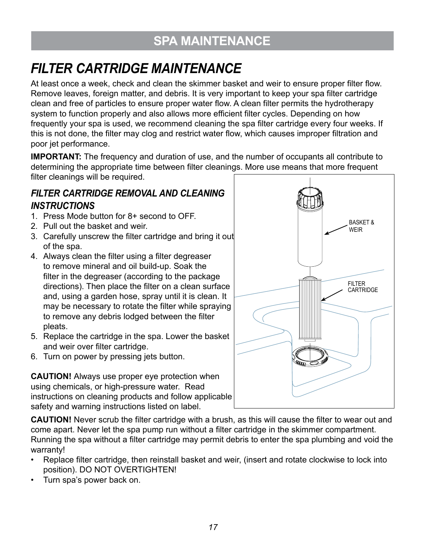## **SPA MAINTENANCE**

## *FILTER CARTRIDGE MAINTENANCE*

At least once a week, check and clean the skimmer basket and weir to ensure proper filter flow. Remove leaves, foreign matter, and debris. It is very important to keep your spa filter cartridge clean and free of particles to ensure proper water flow. A clean filter permits the hydrotherapy system to function properly and also allows more efficient filter cycles. Depending on how frequently your spa is used, we recommend cleaning the spa filter cartridge every four weeks. If this is not done, the filter may clog and restrict water flow, which causes improper filtration and poor jet performance.

**IMPORTANT:** The frequency and duration of use, and the number of occupants all contribute to determining the appropriate time between filter cleanings. More use means that more frequent filter cleanings will be required.

#### *FILTER CARTRIDGE REMOVAL AND CLEANING INSTRUCTIONS*

- 1. Press Mode button for 8+ second to OFF.
- 2. Pull out the basket and weir.
- 3. Carefully unscrew the filter cartridge and bring it out of the spa.
- 4. Always clean the filter using a filter degreaser to remove mineral and oil build-up. Soak the filter in the degreaser (according to the package directions). Then place the filter on a clean surface and, using a garden hose, spray until it is clean. It may be necessary to rotate the filter while spraying to remove any debris lodged between the filter pleats.
- 5. Replace the cartridge in the spa. Lower the basket and weir over filter cartridge.
- 6. Turn on power by pressing jets button.

**CAUTION!** Always use proper eye protection when using chemicals, or high-pressure water. Read instructions on cleaning products and follow applicable safety and warning instructions listed on label.



**CAUTION!** Never scrub the filter cartridge with a brush, as this will cause the filter to wear out and come apart. Never let the spa pump run without a filter cartridge in the skimmer compartment. Running the spa without a filter cartridge may permit debris to enter the spa plumbing and void the warranty!

- Replace filter cartridge, then reinstall basket and weir, (insert and rotate clockwise to lock into position). DO NOT OVERTIGHTEN!
- Turn spa's power back on.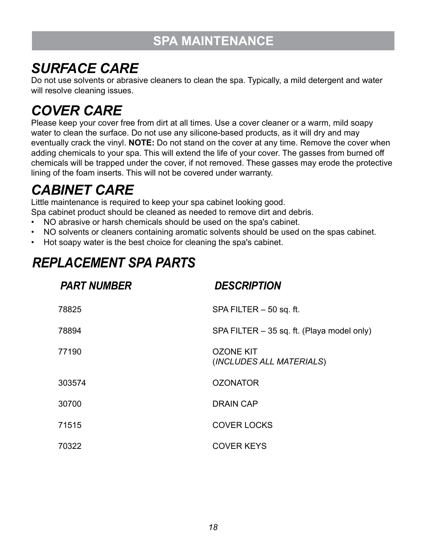## **SPA MAINTENANCE**

## *SURFACE CARE*

Do not use solvents or abrasive cleaners to clean the spa. Typically, a mild detergent and water will resolve cleaning issues.

## *COVER CARE*

Please keep your cover free from dirt at all times. Use a cover cleaner or a warm, mild soapy water to clean the surface. Do not use any silicone-based products, as it will dry and may eventually crack the vinyl. **NOTE:** Do not stand on the cover at any time. Remove the cover when adding chemicals to your spa. This will extend the life of your cover. The gasses from burned off chemicals will be trapped under the cover, if not removed. These gasses may erode the protective lining of the foam inserts. This will not be covered under warranty.

## *CABINET CARE*

Little maintenance is required to keep your spa cabinet looking good.

Spa cabinet product should be cleaned as needed to remove dirt and debris.

- NO abrasive or harsh chemicals should be used on the spa's cabinet.
- NO solvents or cleaners containing aromatic solvents should be used on the spas cabinet.
- Hot soapy water is the best choice for cleaning the spa's cabinet.

## *REPLACEMENT SPA PARTS*

| <b>PART NUMBER</b> | <b>DESCRIPTION</b>                           |
|--------------------|----------------------------------------------|
| 78825              | SPA FILTER - 50 sq. ft.                      |
| 78894              | SPA FILTER - 35 sq. ft. (Playa model only)   |
| 77190              | <b>OZONE KIT</b><br>(INCLUDES ALL MATERIALS) |
| 303574             | <b>OZONATOR</b>                              |
| 30700              | <b>DRAIN CAP</b>                             |
| 71515              | <b>COVER LOCKS</b>                           |
| 70322              | <b>COVER KEYS</b>                            |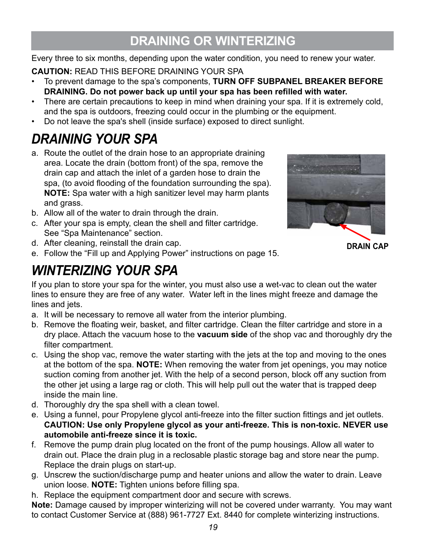## **DRAINING OR WINTERIZING**

Every three to six months, depending upon the water condition, you need to renew your water.

**CAUTION:** READ THIS BEFORE DRAINING YOUR SPA

- To prevent damage to the spa's components, **TURN OFF SUBPANEL BREAKER BEFORE DRAINING. Do not power back up until your spa has been refilled with water.**
- There are certain precautions to keep in mind when draining your spa. If it is extremely cold, and the spa is outdoors, freezing could occur in the plumbing or the equipment.
- Do not leave the spa's shell (inside surface) exposed to direct sunlight.

## *DRAINING YOUR SPA*

- a. Route the outlet of the drain hose to an appropriate draining area. Locate the drain (bottom front) of the spa, remove the drain cap and attach the inlet of a garden hose to drain the spa, (to avoid flooding of the foundation surrounding the spa). **NOTE:** Spa water with a high sanitizer level may harm plants and grass.
- b. Allow all of the water to drain through the drain.
- c. After your spa is empty, clean the shell and filter cartridge. See "Spa Maintenance" section.



**DRAIN CAP**

- d. After cleaning, reinstall the drain cap.
- e. Follow the "Fill up and Applying Power" instructions on page 15.

## *WINTERIZING YOUR SPA*

If you plan to store your spa for the winter, you must also use a wet-vac to clean out the water lines to ensure they are free of any water. Water left in the lines might freeze and damage the lines and jets.

- a. It will be necessary to remove all water from the interior plumbing.
- b. Remove the floating weir, basket, and filter cartridge. Clean the filter cartridge and store in a dry place. Attach the vacuum hose to the **vacuum side** of the shop vac and thoroughly dry the filter compartment.
- c. Using the shop vac, remove the water starting with the jets at the top and moving to the ones at the bottom of the spa. **NOTE:** When removing the water from jet openings, you may notice suction coming from another jet. With the help of a second person, block off any suction from the other jet using a large rag or cloth. This will help pull out the water that is trapped deep inside the main line.
- d. Thoroughly dry the spa shell with a clean towel.
- e. Using a funnel, pour Propylene glycol anti-freeze into the filter suction fittings and jet outlets. **CAUTION: Use only Propylene glycol as your anti-freeze. This is non-toxic. NEVER use automobile anti-freeze since it is toxic.**
- f. Remove the pump drain plug located on the front of the pump housings. Allow all water to drain out. Place the drain plug in a reclosable plastic storage bag and store near the pump. Replace the drain plugs on start-up.
- g. Unscrew the suction/discharge pump and heater unions and allow the water to drain. Leave union loose. **NOTE:** Tighten unions before filling spa.
- h. Replace the equipment compartment door and secure with screws.

**Note:** Damage caused by improper winterizing will not be covered under warranty. You may want to contact Customer Service at (888) 961-7727 Ext. 8440 for complete winterizing instructions.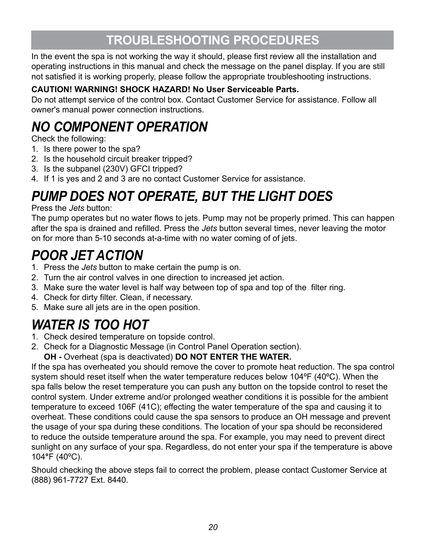## **TROUBLESHOOTING PROCEDURES**

In the event the spa is not working the way it should, please first review all the installation and operating instructions in this manual and check the message on the panel display. If you are still not satisfied it is working properly, please follow the appropriate troubleshooting instructions.

#### **CAUTION! WARNING! SHOCK HAZARD! No User Serviceable Parts.**

Do not attempt service of the control box. Contact Customer Service for assistance. Follow all owner's manual power connection instructions.

## *NO COMPONENT OPERATION*

Check the following:

- 1. Is there power to the spa?
- 2. Is the household circuit breaker tripped?
- 3. Is the subpanel (230V) GFCI tripped?
- 4. If 1 is yes and 2 and 3 are no contact Customer Service for assistance.

## *PUMP DOES NOT OPERATE, BUT THE LIGHT DOES*

Press the *Jets* button:

The pump operates but no water flows to jets. Pump may not be properly primed. This can happen after the spa is drained and refilled. Press the *Jets* button several times, never leaving the motor on for more than 5-10 seconds at-a-time with no water coming of of jets.

## *POOR JET ACTION*

- 1. Press the *Jets* button to make certain the pump is on.
- 2. Turn the air control valves in one direction to increased jet action.
- 3. Make sure the water level is half way between top of spa and top of the filter ring.
- 4. Check for dirty filter. Clean, if necessary.
- 5. Make sure all jets are in the open position.

## *WATER IS TOO HOT*

- 1. Check desired temperature on topside control.
- 2. Check for a Diagnostic Message (in Control Panel Operation section).

**OH -** Overheat (spa is deactivated) **DO NOT ENTER THE WATER.**

If the spa has overheated you should remove the cover to promote heat reduction. The spa control system should reset itself when the water temperature reduces below 104ºF (40ºC). When the spa falls below the reset temperature you can push any button on the topside control to reset the control system. Under extreme and/or prolonged weather conditions it is possible for the ambient temperature to exceed 106F (41C); effecting the water temperature of the spa and causing it to overheat. These conditions could cause the spa sensors to produce an OH message and prevent the usage of your spa during these conditions. The location of your spa should be reconsidered to reduce the outside temperature around the spa. For example, you may need to prevent direct sunlight on any surface of your spa. Regardless, do not enter your spa if the temperature is above 104**°**F (40ºC).

Should checking the above steps fail to correct the problem, please contact Customer Service at (888) 961-7727 Ext. 8440.